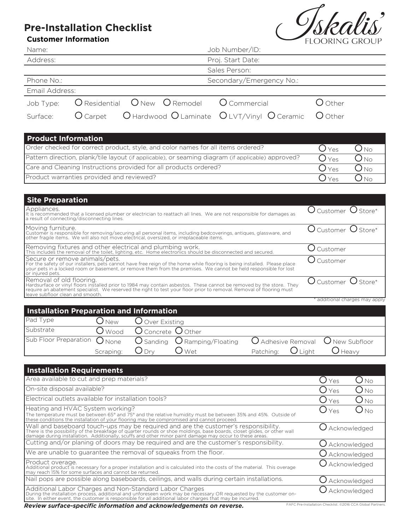## **Pre-Installation Checklist**

## **Customer Information**



| <b>Customer Information</b>                                                                                                                                                                                                                                                                                  |                  |                        |                                 |                   |                           |           |                         | FLOORING GROUP               |
|--------------------------------------------------------------------------------------------------------------------------------------------------------------------------------------------------------------------------------------------------------------------------------------------------------------|------------------|------------------------|---------------------------------|-------------------|---------------------------|-----------|-------------------------|------------------------------|
| Name:                                                                                                                                                                                                                                                                                                        |                  |                        |                                 | Job Number/ID:    |                           |           |                         |                              |
| Address:                                                                                                                                                                                                                                                                                                     |                  |                        |                                 | Proj. Start Date: |                           |           |                         |                              |
|                                                                                                                                                                                                                                                                                                              |                  |                        |                                 | Sales Person:     |                           |           |                         |                              |
| Phone No.:                                                                                                                                                                                                                                                                                                   |                  |                        |                                 |                   | Secondary/Emergency No.:  |           |                         |                              |
| Email Address:                                                                                                                                                                                                                                                                                               |                  |                        |                                 |                   |                           |           |                         |                              |
| Job Type:                                                                                                                                                                                                                                                                                                    | O Residential    | $O$ New                | O Remodel                       | O Commercial      |                           |           | O Other                 |                              |
| $O$ Carpet<br>Surface:                                                                                                                                                                                                                                                                                       |                  |                        | O Hardwood O Laminate           |                   | $O$ LVT/Vinyl $O$ Ceramic |           | O Other                 |                              |
| <b>Product Information</b>                                                                                                                                                                                                                                                                                   |                  |                        |                                 |                   |                           |           |                         |                              |
| Order checked for correct product, style, and color names for all items ordered?                                                                                                                                                                                                                             |                  |                        |                                 |                   |                           |           | $O_{Yes}$               | $O_{NQ}$                     |
| Pattern direction, plank/tile layout (if applicable), or seaming diagram (if applicable) approved?                                                                                                                                                                                                           |                  |                        |                                 |                   |                           |           | $\bigcirc$ Yes          | $O_{\text{No}}$              |
| Care and Cleaning Instructions provided for all products ordered?                                                                                                                                                                                                                                            |                  |                        |                                 |                   |                           |           | $\ldots$<br>Yes         | $O_{No}$                     |
| Product warranties provided and reviewed?                                                                                                                                                                                                                                                                    |                  |                        |                                 |                   |                           |           | $\cdot$ )<br>Yes        | $O_{\text{No}}$              |
|                                                                                                                                                                                                                                                                                                              |                  |                        |                                 |                   |                           |           |                         |                              |
| <b>Site Preparation</b>                                                                                                                                                                                                                                                                                      |                  |                        |                                 |                   |                           |           |                         |                              |
| Appliances.<br>It is recommended that a licensed plumber or electrician to reattach all lines. We are not responsible for damages as<br>a result of connecting/disconnecting lines.                                                                                                                          |                  |                        |                                 |                   |                           |           | O Customer O Store*     |                              |
| Moving furniture.<br>Customer is responsible for removing/securing all personal items, including bedcoverings, antiques, glassware, and<br>other fragile items. We will also not move electrical, oversized, or irreplaceable items.                                                                         |                  |                        |                                 |                   |                           |           | $O$ Customer $O$ Store* |                              |
| Removing fixtures and other electrical and plumbing work.<br>This includes the removal of the toilet, lighting, etc. Home electronics should be disconnected and secured.                                                                                                                                    |                  |                        |                                 |                   |                           |           | $O$ Customer            |                              |
| Secure or remove animals/pets.<br>For the safety of our installers, pets cannot have free reign of the home while flooring is being installed. Please place<br>your pets in a locked room or basement, or remove them from the premises. We cannot be held responsi<br>or injured pets.                      |                  |                        |                                 |                   |                           |           | $O$ Customer            |                              |
| Removal of old flooring.<br>Hardsurface or vinyl floors installed prior to 1984 may contain asbestos. These cannot be removed by the store. They<br>require an abatement specialist. We reserved the right to test your floor prior to removal. Removal of flooring must<br>leave subfloor clean and smooth. |                  |                        |                                 |                   |                           |           | O Customer O Store*     |                              |
|                                                                                                                                                                                                                                                                                                              |                  |                        |                                 |                   |                           |           |                         | additional charges may apply |
| <b>Installation Preparation and Information</b>                                                                                                                                                                                                                                                              |                  |                        |                                 |                   |                           |           |                         |                              |
| Pad Type                                                                                                                                                                                                                                                                                                     | $\mathsf{U}$ New | O<br>Over Existing     |                                 |                   |                           |           |                         |                              |
| Substrate                                                                                                                                                                                                                                                                                                    | Wood             | O                      | Concrete $\bigcup$ Other        |                   |                           |           |                         |                              |
| Sub Floor Preparation                                                                                                                                                                                                                                                                                        | O None           | $\overline{O}$ Sanding | $\overline{O}$ Ramping/Floating |                   | O Adhesive Removal        |           |                         | O New Subfloor               |
|                                                                                                                                                                                                                                                                                                              | Scraping:        | $O_{\text{Dry}}$       | $\mathsf{O}_{\mathsf{Wet}}$     |                   | Patching:                 | $O$ Light | $\bigcup$ Heavy         |                              |
|                                                                                                                                                                                                                                                                                                              |                  |                        |                                 |                   |                           |           |                         |                              |
| <b>Installation Requirements</b>                                                                                                                                                                                                                                                                             |                  |                        |                                 |                   |                           |           |                         |                              |
| Area available to cut and prep materials?                                                                                                                                                                                                                                                                    |                  |                        |                                 |                   |                           |           | ( )<br>Yes              | $\bigcirc_{\mathsf{No}}$     |
| On-site disposal available?                                                                                                                                                                                                                                                                                  |                  |                        |                                 |                   |                           |           | Yes                     | <b>No</b>                    |
| Electrical outlets available for installation tools?                                                                                                                                                                                                                                                         |                  |                        |                                 |                   |                           |           | ( )<br>Yes              | $O_{\,\rm No}$               |
| Heating and HVAC System working?<br>The temperature must be between 65° and 75° and the relative humidity must be between 35% and 45%. Outside of these conditions the installation of your flooring may be compromised and cannot proceed.                                                                  |                  |                        |                                 |                   |                           |           | $\bigcup$ Yes           | $\bigcirc$ No                |
| Wall and baseboard touch-ups may be required and are the customer's responsibility.<br>There is the possibility of the breakfage of quarter rounds or shoe moldings, base boards, closet glides, or other wall<br>damage during inst                                                                         |                  |                        |                                 |                   |                           |           | $O$ Acknowledged        |                              |
| Cutting and/or planing of doors may be required and are the customer's responsibility.                                                                                                                                                                                                                       |                  |                        |                                 |                   |                           |           | $\bigcup$ Acknowledged  |                              |
| We are unable to guarantee the removal of squeaks from the floor.                                                                                                                                                                                                                                            |                  |                        |                                 |                   |                           |           |                         | Acknowledged                 |
| Product overage.                                                                                                                                                                                                                                                                                             |                  |                        |                                 |                   |                           |           |                         | Acknowledged                 |

Product overage. Additional product is necessary for a proper installation and is calculated into the costs of the material. This overage may reach 15% for some surfaces and cannot be returned.

Nail pops are possible along baseboards, ceilings, and walls during certain installations.  $\bigcirc$  Acknowledged

Additional Labor Charges and Non-Standard Labor Charges<br>During the installation process, additional and unforeseen work may be necessary OR requested by the customer on-<br>site. In either event, the customer is responsible f

Review surface-specific information and acknowledgements on reverse. FAFC Pre-Installation Checklist. ©2016 CCA Global Partners.

O Acknowledged